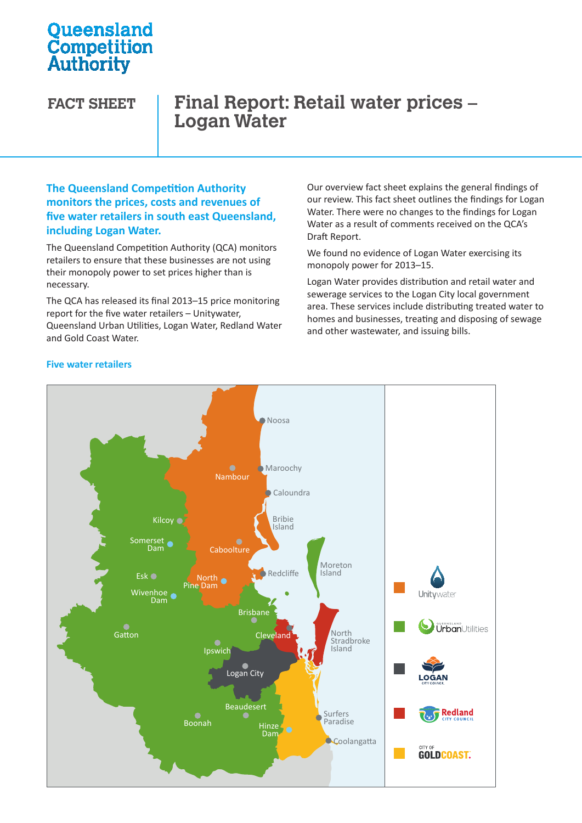# **Oueensland Competition**<br>Authority

# **FACT SHEET Final Report: Retail water prices – Logan Water**

#### **The Queensland Competition Authority monitors the prices, costs and revenues of five water retailers in south east Queensland, including Logan Water.**

The Queensland Competition Authority (QCA) monitors retailers to ensure that these businesses are not using their monopoly power to set prices higher than is necessary.

The QCA has released its final 2013–15 price monitoring report for the five water retailers – Unitywater,  $h_{\text{R}}$  are three set Queensland Urban Utilities, Logan Water, Redland Water Urban Utilities Water Water and Gold Coast Water.

Our overview fact sheet explains the general findings of our review. This fact sheet outlines the findings for Logan Water. There were no changes to the findings for Logan Water as a result of comments received on the QCA's Draft Report.

We found no evidence of Logan Water exercising its monopoly power for 2013–15.

Logan Water provides distribution and retail water and sewerage services to the Logan City local government area. These services include distributing treated water to homes and businesses, treating and disposing of sewage and other wastewater, and issuing bills.



#### **Five water retailers**